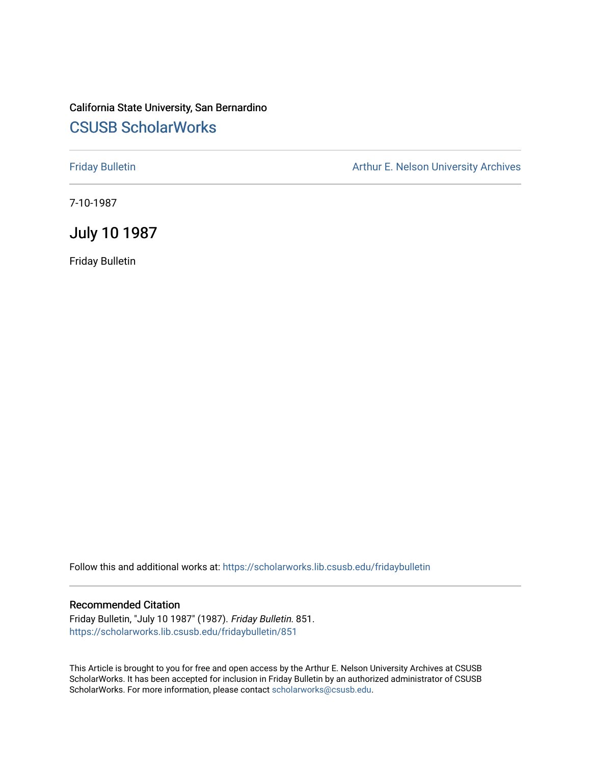# California State University, San Bernardino [CSUSB ScholarWorks](https://scholarworks.lib.csusb.edu/)

[Friday Bulletin](https://scholarworks.lib.csusb.edu/fridaybulletin) **Arthur E. Nelson University Archives** Arthur E. Nelson University Archives

7-10-1987

## July 10 1987

Friday Bulletin

Follow this and additional works at: [https://scholarworks.lib.csusb.edu/fridaybulletin](https://scholarworks.lib.csusb.edu/fridaybulletin?utm_source=scholarworks.lib.csusb.edu%2Ffridaybulletin%2F851&utm_medium=PDF&utm_campaign=PDFCoverPages)

### Recommended Citation

Friday Bulletin, "July 10 1987" (1987). Friday Bulletin. 851. [https://scholarworks.lib.csusb.edu/fridaybulletin/851](https://scholarworks.lib.csusb.edu/fridaybulletin/851?utm_source=scholarworks.lib.csusb.edu%2Ffridaybulletin%2F851&utm_medium=PDF&utm_campaign=PDFCoverPages)

This Article is brought to you for free and open access by the Arthur E. Nelson University Archives at CSUSB ScholarWorks. It has been accepted for inclusion in Friday Bulletin by an authorized administrator of CSUSB ScholarWorks. For more information, please contact [scholarworks@csusb.edu.](mailto:scholarworks@csusb.edu)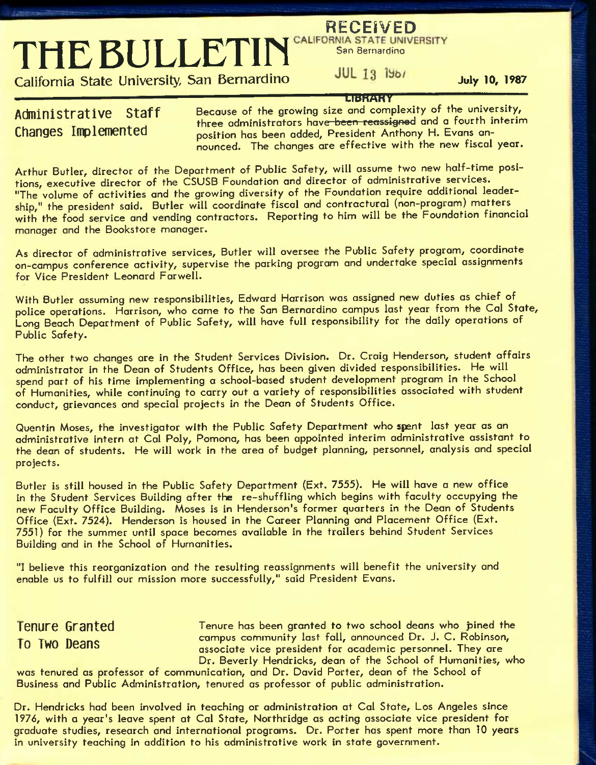**RECEIVED**<br> **THE BULLETIN** CALIFORNIA STATE UNIVERSITY

**California State University, San Bernardino July lo, 1987** 

**UBHMHV** 

Administrative Staff Because of the growing size and complexity of the university, three administrators have been reassigned and a fourth interim Changes Implemented position has been added. President Anthony H. Evans announced. The changes are effective with the new fiscal year.

Arthur Butler, director of the Department of Public Safety, will assume two new half-time positions, executive director of the CSUSB Foundation and director of administrative services. "The'volume of activities and the growing diversity of the Foundation require additional leadership," the president said. Butler will coordinate fiscal and contractural (non-program) matters ^ with the food service and vending contractors. Reporting to him will be the Foundation financial manager and the Bookstore manager.

As director of administrative services, Butler will oversee the Public Safety program, coordinate on-campus conference activity, supervise the parking program and undertake special assignments for Vice President Leonard Farwell.

With Butler assuming new responsibilities, Edward Harrison was assigned new duties as chief of police operations. Harrison, who came to the San Bernardino campus last year from the Cal State, Long Beach Department of Public Safety, will have full responsibility for the daily operations of Public Safety.

The other two changes are in the Student Services Division. Dr. Craig Henderson, student affairs administrator in the Dean of Students Office, has been given divided responsibilities. He will spend part of his time implementing a school-based student development program in the School of Humanities, while continuing to carry out a variety of responsibilities associated with student conduct, grievances and special projects in the Dean of Students Office.

Quentin Moses, the investigator with the Public Safety Department who spant last year as an administrative intern at Gal Poly, Pomona, has been appointed interim administrative assistant to the dean of students. He will work in the area of budget planning, personnel, analysis and special projects.

Butler is still housed in the Public Safety Department (Ext. 7555). He will have a new office in the Student Services Building after the re-shuffling which begins with faculty occupying the new Faculty Office Building. Moses is in Henderson's former quarters in the Dean of Students Office (Ext. 7524). Henderson is housed in the Career Planning and Placement Office (Ext. 7551) for the summer until space becomes available in the trailers behind Student Services Building and in the School of Humanities.

"I believe this reorganization and the resulting reassignments will benefit the university and enable us to fulfill our mission more successfully," said President Evans.

**Tenure Granted Tenure has been granted to two school deans who pined the** The Tunnell Campus community last fall, announced Dr. J. C. Robinson,<br>The Two Deans according wise precident for analogie personnel. They are associate vice president for academic personnel. They are Dr. Beverly Hendricks, dean of the School of Humanities, who

was tenured as professor of communication, and Dr. David Porter, dean of the School of Business and Public Administration, tenured as professor of public administration.

Dr. Hendricks had been involved in teaching or administration at Cal State, Los Angeles since 1976, with a year's leave spent at Cal State, Northridge as acting associate vice president for graduate studies, research and international programs. Dr. Porter has spent more than 10 years in university teaching in addition to his administrative work in state government.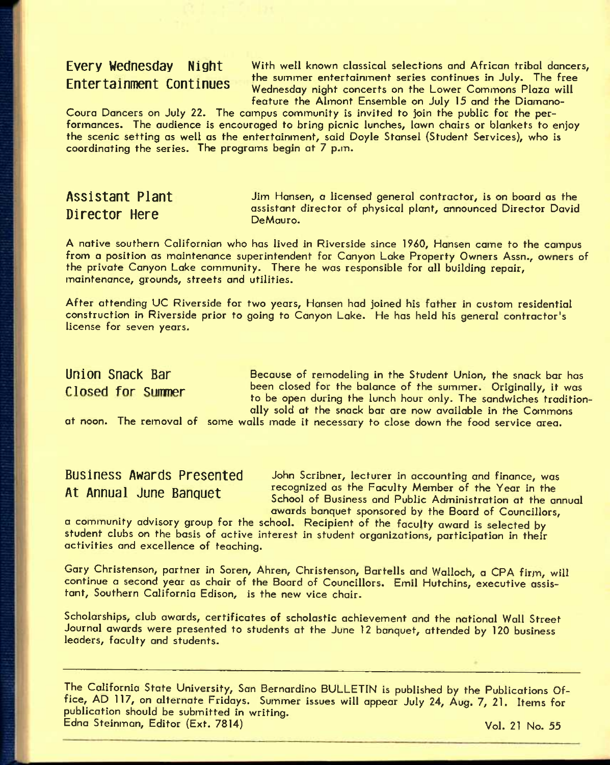**Every Wednesday** Night With well known classical selections and African tribal dancers, the summer entertainment series continues in July. The free **Entertainment Continues Wednesday night concerts on the Lower Commons Plaza will** feature the Almont Ensemble on July 15 and the Diamano-

Coura Dancers on July 22. The campus community is invited to join the public for the performances. The audience is encouraged to bring picnic lunches, lawn chairs or blankets to enjoy the scenic setting as well as the entertainment, said Doyle Stansel (Student Services), who is coordinating the series. The programs begin at 7 p.m.

**Assistant Plant II** Jim Hansen, a licensed general contractor, is on board as the Director Here assistant director of physical plant, announced Director David DeMauro.

A native southern Californian who has lived in Riverside since 1960, Hansen came to the campus from a position as maintenance superintendent for Canyon Lake Property Owners Assn., owners of the private Canyon Lake community. There he was responsible for all building repair, maintenance, grounds, streets and utilities.

After attending UC Riverside for two years, Hansen had joined his father in custom residential construction in Riverside prior to going to Canyon Lake. He has held his general contractor's license for seven years.

**Union Snack Bar Because of remodeling in the Student Union, the snack bar has** Closed for Summer been closed for the balance of the summer. Originally, it was to be open during the lunch hour only. The sandwiches traditionally sold at the snack bar are now available in the Commons

at noon. The removal of some walls made it necessary to close down the food service area.

**Business Awards Presented** John Scribner, lecturer in accounting and finance, was At Annual June Banquet recognized as the Faculty Member of the Year in the School of Business and Public Administration at the annual awards banquet sponsored by the Board of Councillors,

*a* community advisory group for the school. Recipient of the faculty award is selected by student clubs on the basis of active interest in student organizations, participation in their activities and excellence of teaching.

Gary Christenson, partner in Soren, Ahren, Christenson, Bartells and Walloch, a CPA firm, will continue a second year as chair of the Board of Councillors. Emil Hutchins, executive assistant, Southern California Edison, is the new vice chair.

Scholarships, club awards, certificates of scholastic achievement and the national Wall Street Journal awards were presented to students at the June 12 banquet, attended by 120 business leaders, faculty and students.

The California State University, San Bernardino BULLETIN is published by the Publications Office, AD 117, on alternate Fridays. Summer issues will appear July 24, Aug. 7, 21. Items for publication should be submitted in writing. Edna Steinman, Editor (Ext. 7814) Vol. 21 No. 55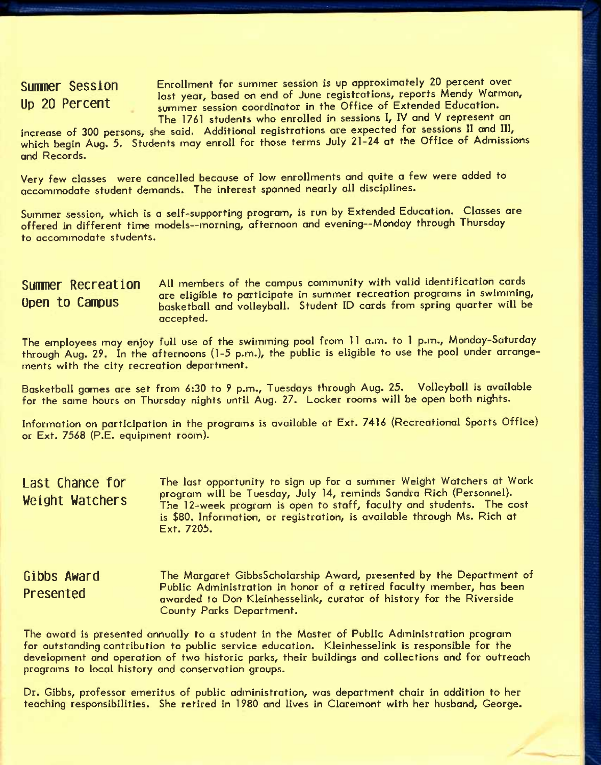**Summer Session Enrollment for summer session is up approximately 20 percent over** lost year, based on end of June registrations, reports Mendy Warman, Up 20 Percent summer session coordinator in the Office of Extended Education. The 1761 students who enrolled in sessions 1, IV and V represent an

increase of 300 persons, she said. Additional registrations are expected for sessions 11 and III, which begin Aug. 5. Students may enroll for those terms July 21-24 at the Office of Admissions and Records.

Very few classes were cancelled because of low enrollments and quite a few were added to accoinmodate student demands. The interest spanned nearly all disciplines.

Summer session, which is a self-supporting program, is run by Extended Education. Classes are offered in different time models—morning, afternoon and evening—Monday through Thursday to accommodate students.

### **Sumner Recrestion** A11 members of the campus community with valid identification cards example to participate in summer recreation programs in swimming,<br>ODEN to Campus borketholl and volleyholl. Student ID cards from spring quarter will be basketball and volleyball. Student ID cards from spring quarter will be accepted.

The employees may enjoy full use of the swimming pool from 11 a.m. to 1 p.m., Monday-Saturday through Aug. 29. In the afternoons (1-5 p.m.), the public is eligible to use the pool under arrangements with the city recreation department.

Basketball games are set from 6:30 to 9 p.m., Tuesdays through Aug. 25. Volleyball is available for the same hours on Thursday nights until Aug. 27. Locker rooms will be open both nights.

Information on participation in the programs is available at Ext. 7416 (Recreational Sports Office) or Ext. 7568 (P.E. equipment room).

**Last Chance for Weight Watchers**  The lost opportunity to sign up for a summer Weight Watchers at Work program will be Tuesday, July 14, reminds Sandra Rich (Personnel). The 12-week program is open to staff, faculty and students. The cost is \$80. Information, or registration, is available through Ms. Rich at Ext. 7205.

The Margaret GibbsScholarship Award, presented by the Department of Public Administration in honor of a retired faculty member, has been awarded to Don Kleinhesselink, curator of history for the Riverside County Parks Department. **Gibbs Award Presented** 

The award is presented annually to a student in the Master of Public Administration program for outstanding contribution to public service education. Kleinhesselink is responsible for the development and operation of two historic parks, their buildings and collections and for outreach programs to local history and conservation groups.

Dr. Gibbs, professor emeritus of public administration, was department chair in addition to her teaching responsibilities. She retired in 1980 and lives in Claremont with her husband, George.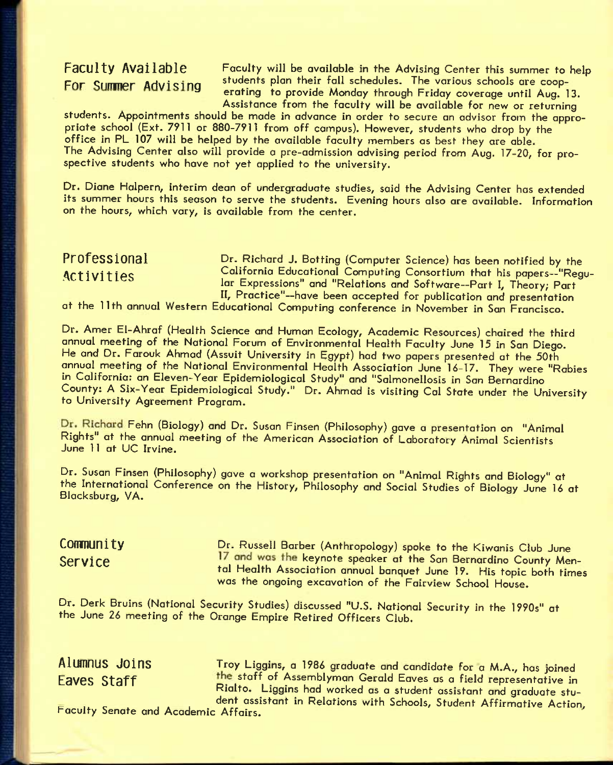Faculty Available Faculty will be available in the Advising Center this summer to help FOR SUMMER Advising students plan their fall schedules. The various schools are cooperating to provide Monday through Friday coverage until Aug. 13. Assistance from the faculty will be available for new or returning

students. Appointments should be made in advance in order to secure an advisor from the appropriate school (Ext. 7911 or 880-7911 from off campus). However, students who drop by the office in PL 107 will be helped by the available faculty members as best they are able. The Advising Center also will provide a pre-admission advising period from Aug. 17-20, for prospective students who hove not yet applied to the university.

Dr. Diane Halpern, interim dean of undergraduate studies, said the Advising Center has extended its summer hours this season to serve the students. Evening hours also are available. Information on the hours, which vary, is available from the center.

## **ProfGsslonal Activities**

Dr. Richard J. Sotting (Computer Science) has been notified by the California Educational Computing Consortium that his papers—"Regular Expressions" and "Relations and Software—Part I, Theory; Part II, Practice"—have been accepted for publication and presentation

at the 11th annual Western Educational Computing conference in November in San Francisco.

Dr. Amer El-Ahraf (Health Science and Human Ecology, Academic Resources) chaired the third annual meeting of the National Forum of Environmental Health Faculty June 15 in San Diego. He and Dr. Farouk Ahmad (Assuit University in Egypt) had two papers presented at the 50th annual meeting of the National Environmental Health Association June 16-17. They were "Rabies in California: an Eleven-Year Epidemiological Study" and "Salmonellosis in San Bernardino County: A Six-Year Epidemiological Study." Dr. Ahmad is visiting Cal State under the University to University Agreement Program.

Dr. Richard Fehn (Biology) and Dr. Susan Finsen (Philosophy) gave a presentation on "Animal Rights" at the annual meeting of the American Association of Laboratory Animal Scientists June 11 at UC Irvine.

Dr. Susan Finsen (Philosophy) gave a workshop presentation on "Animal Rights and Biology" at the International Conference on the History, Philosophy and Social Studies of Biology June 16 at Blacksburg, VA.

**COMMUNIty Dr. Russell Barber (Anthropology) spoke to the Kiwanis Club June** Service 17 and was the keynote speaker at the San Bernardino County Mental Health Association annual banquet June 19. His topic both times was the ongoing excavation of the Fairview School House.

Dr. Derk Bruins (National Security Studies) discussed "U.S. National Security in the 1990s" at the June 26 meeting of the Orange Empire Retired Officers Club.

**Alumnus Joins** Troy Llgglns, a 1986 graduate and candidate for a M.A., has joined Eaves Staff staff of Assemblyman Gerald Eaves as a field representative in Rialto. Liggins had worked as a student assistant and graduate student assistant in Relations with Schools, Student Affirmative Action,

Faculty Senate and Academic Affairs.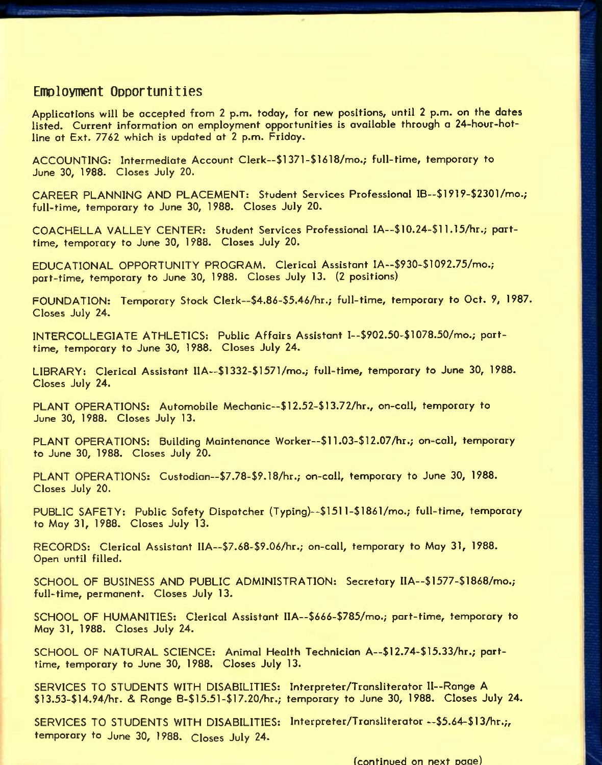## **EmDloyment Opportunities**

Applications will be accepted from 2 p.m. today, for new positions, until 2 p.m. on the dates listed. Current information on employment opportunities is available through a 24-hour-hotline at Ext. 7762 which is updated at 2 p.m. Friday.

ACCOUNTING: Intermediate Account Clerk—\$1371-\$1618/mo.; full-time, temporary to June 30, 1988. Closes July 20.

CAREER PLANNING AND PLACEMENT: Student Services Professional IB—\$1919-\$2301/mo.; full-time, temporary to June 30, 1988. Closes July 20.

COACHELLA VALLEY CENTER: Student Services Professional lA—\$10.24-\$ 11.15/hr.; parttime, temporary to June 30, 1988. Closes July 20.

EDUCATIONAL OPPORTUNITY PROGRAM. Clerical Assistant IA--\$930-\$1092.75/mo.; part-time, temporary to June 30, 1988. Closes July 13. (2 positions)

FOUNDATION: Temporary Stock Clerk--\$4.86-\$5.46/hr.; full-time, temporary to Oct. 9, 1987. Closes July 24.

INTERCOLLEGIATE ATHLETICS: Public Affairs Assistant I-\$902.50-\$1078.50/mo.; parttime, temporary to June 30, 1988. Closes July 24.

LIBRARY: Clerical Assistant IIA—\$1332-\$1571/mo.; full-time, temporary to June 30, 1988. Closes July 24.

PLANT OPERATIONS: Automobile Mechanic--\$12.52-\$13.72/hr., on-call, temporary to June 30, 1988. Closes July 13.

PLANT OPERATIONS: Building Maintenance Worker—\$11.03-\$ 12.07/hr.; on-call, temporary to June 30, 1988. Closes July 20.

PLANT OPERATIONS: Custodian—\$7.78-\$9.18/hr.; on-call, temporary to June 30, 1988. Closes July 20.

PUBLIC SAFETY: Public Safety Dispatcher (Typing)—\$151 l-\$186l/mo.; full-time, temporary to May 31, 1988. Closes July 13.

RECORDS: Clerical Assistant IIA—\$7.68-\$9.06/hr.; on-call, temporary to May 31, 1988. Open until filled.

SCHOOL OF BUSINESS AND PUBLIC ADMINISTRATION: Secretary IIA--\$1577-\$1868/mo.; full-time, permanent. Closes July 13.

SCHOOL OF HUMANITIES: Clerical Assistant IIA—\$666-\$785/mo.; part-time, temporary to May 31, 1988. Closes July 24.

SCHOOL OF NATURAL SCIENCE: Animal Health Technician A--\$12.74-\$15.33/hr.; parttime, temporary to June 30, 1988. Closes July 13.

SERVICES TO STUDENTS WITH DISABILITIES: Interpreter/Transliterator II-Range A \$13.53-\$14.94Air. & Range B-\$15.51-\$17.20/hr.; temporary to June 30, 1988. Closes July 24.

SERVICES TO STUDENTS WITH DISABILITIES: Interpreter/Transliterator--\$5.64-\$13/hr.;, temporary to June 30, 1988. Closes July 24.

(continued on next Daae)